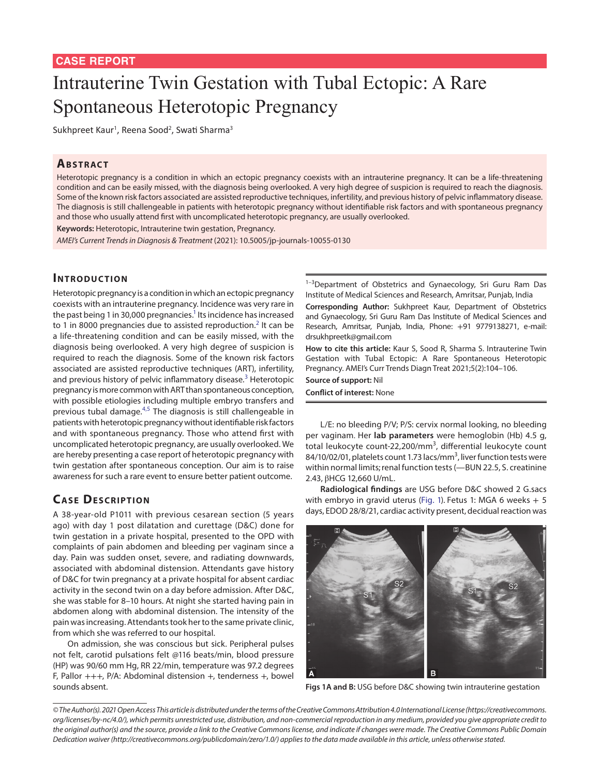# Intrauterine Twin Gestation with Tubal Ectopic: A Rare Spontaneous Heterotopic Pregnancy

Sukhpreet Kaur<sup>1</sup>, Reena Sood<sup>2</sup>, Swati Sharma<sup>3</sup>

#### **ABSTRACT**

Heterotopic pregnancy is a condition in which an ectopic pregnancy coexists with an intrauterine pregnancy. It can be a life-threatening condition and can be easily missed, with the diagnosis being overlooked. A very high degree of suspicion is required to reach the diagnosis. Some of the known risk factors associated are assisted reproductive techniques, infertility, and previous history of pelvic inflammatory disease. The diagnosis is still challengeable in patients with heterotopic pregnancy without identifiable risk factors and with spontaneous pregnancy and those who usually attend first with uncomplicated heterotopic pregnancy, are usually overlooked.

**Keywords:** Heterotopic, Intrauterine twin gestation, Pregnancy.

*AMEI's Current Trends in Diagnosis & Treatment* (2021): 10.5005/jp-journals-10055-0130

## **INTRODUCTION**

Heterotopic pregnancy is a condition in which an ectopic pregnancy coexists with an intrauterine pregnancy. Incidence was very rare in the past being 1 in 30,000 pregnancies. $^1$  Its incidence has increased to 1 in 8000 pregnancies due to assisted reproduction.<sup>[2](#page-1-1)</sup> It can be a life-threatening condition and can be easily missed, with the diagnosis being overlooked. A very high degree of suspicion is required to reach the diagnosis. Some of the known risk factors associated are assisted reproductive techniques (ART), infertility, and previous history of pelvic inflammatory disease.<sup>[3](#page-1-2)</sup> Heterotopic pregnancy is more common with ART than spontaneous conception, with possible etiologies including multiple embryo transfers and previous tubal damage.<sup>[4,](#page-1-3)[5](#page-1-4)</sup> The diagnosis is still challengeable in patients with heterotopic pregnancy without identifiable risk factors and with spontaneous pregnancy. Those who attend first with uncomplicated heterotopic pregnancy, are usually overlooked. We are hereby presenting a case report of heterotopic pregnancy with twin gestation after spontaneous conception. Our aim is to raise awareness for such a rare event to ensure better patient outcome.

# **CASE DESCRIPTION**

A 38-year-old P1011 with previous cesarean section (5 years ago) with day 1 post dilatation and curettage (D&C) done for twin gestation in a private hospital, presented to the OPD with complaints of pain abdomen and bleeding per vaginam since a day. Pain was sudden onset, severe, and radiating downwards, associated with abdominal distension. Attendants gave history of D&C for twin pregnancy at a private hospital for absent cardiac activity in the second twin on a day before admission. After D&C, she was stable for 8–10 hours. At night she started having pain in abdomen along with abdominal distension. The intensity of the pain was increasing. Attendants took her to the same private clinic, from which she was referred to our hospital.

On admission, she was conscious but sick. Peripheral pulses not felt, carotid pulsations felt @116 beats/min, blood pressure (HP) was 90/60 mm Hg, RR 22/min, temperature was 97.2 degrees F, Pallor  $+++$ , P/A: Abdominal distension  $+$ , tenderness  $+$ , bowel sounds absent.

<sup>1-3</sup>Department of Obstetrics and Gynaecology, Sri Guru Ram Das Institute of Medical Sciences and Research, Amritsar, Punjab, India

**Corresponding Author:** Sukhpreet Kaur, Department of Obstetrics and Gynaecology, Sri Guru Ram Das Institute of Medical Sciences and Research, Amritsar, Punjab, India, Phone: +91 9779138271, e-mail: drsukhpreetk@gmail.com

**How to cite this article:** Kaur S, Sood R, Sharma S. Intrauterine Twin Gestation with Tubal Ectopic: A Rare Spontaneous Heterotopic Pregnancy. AMEI's Curr Trends Diagn Treat 2021;5(2):104–106.

**Source of support:** Nil **Conflict of interest:** None

L/E: no bleeding P/V; P/S: cervix normal looking, no bleeding per vaginam. Her **lab parameters** were hemoglobin (Hb) 4.5 g, total leukocyte count-22,200/mm<sup>3</sup>, differential leukocyte count 84/10/02/01, platelets count 1.73 lacs/mm<sup>3</sup>, liver function tests were within normal limits; renal function tests (-BUN 22.5, S. creatinine 2.43, βHCG 12,660 U/mL.

**Radiological findings** are USG before D&C showed 2 G.sacs with embryo in gravid uterus (Fig. 1). Fetus 1: MGA 6 weeks  $+5$ days, EDOD 28/8/21, cardiac activity present, decidual reaction was



**Figs 1A and B:** USG before D&C showing twin intrauterine gestation

*<sup>©</sup> The Author(s). 2021 Open Access This article is distributed under the terms of the Creative Commons Attribution 4.0 International License ([https://creativecommons.](https://creativecommons. org/licenses/by-nc/4.0/) [org/licenses/by-nc/4.0/](https://creativecommons. org/licenses/by-nc/4.0/)), which permits unrestricted use, distribution, and non-commercial reproduction in any medium, provided you give appropriate credit to the original author(s) and the source, provide a link to the Creative Commons license, and indicate if changes were made. The Creative Commons Public Domain Dedication waiver ([http://creativecommons.org/publicdomain/zero/1.0/\)](http://creativecommons.org/publicdomain/zero/1.0/) applies to the data made available in this article, unless otherwise stated.*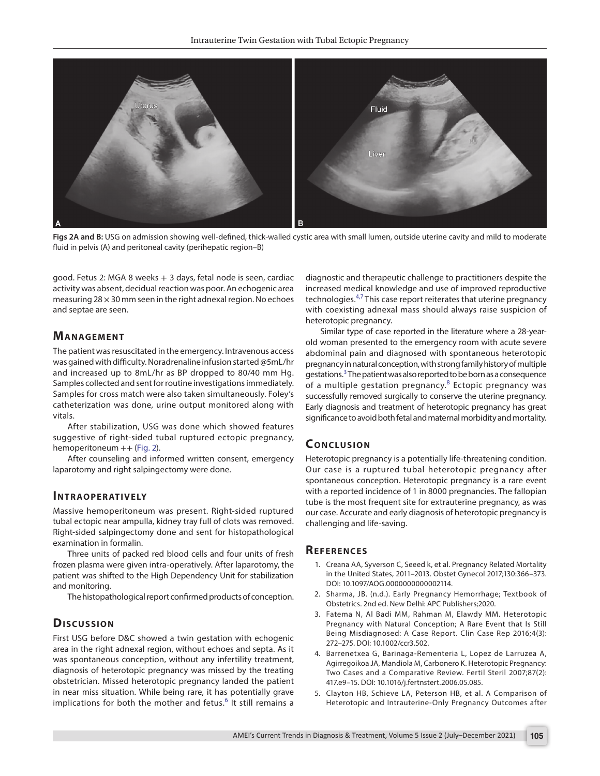

**Figs 2A and B:** USG on admission showing well-defined, thick-walled cystic area with small lumen, outside uterine cavity and mild to moderate fluid in pelvis (A) and peritoneal cavity (perihepatic region–B)

<span id="page-1-5"></span>good. Fetus 2: MGA 8 weeks + 3 days, fetal node is seen, cardiac activity was absent, decidual reaction was poor. An echogenic area measuring  $28 \times 30$  mm seen in the right adnexal region. No echoes and septae are seen.

#### **MANAGEMENT**

The patient was resuscitated in the emergency. Intravenous access was gained with difficulty. Noradrenaline infusion started @5mL/hr and increased up to 8mL/hr as BP dropped to 80/40 mm Hg. Samples collected and sent for routine investigations immediately. Samples for cross match were also taken simultaneously. Foley's catheterization was done, urine output monitored along with vitals.

After stabilization, USG was done which showed features suggestive of right-sided tubal ruptured ectopic pregnancy, hemoperitoneum ++ ([Fig. 2\)](#page-1-5).

After counseling and informed written consent, emergency laparotomy and right salpingectomy were done.

### **INTRAOPERATIVELY**

Massive hemoperitoneum was present. Right-sided ruptured tubal ectopic near ampulla, kidney tray full of clots was removed. Right-sided salpingectomy done and sent for histopathological examination in formalin.

Three units of packed red blood cells and four units of fresh frozen plasma were given intra-operatively. After laparotomy, the patient was shifted to the High Dependency Unit for stabilization and monitoring.

The histopathological report confirmed products of conception.

#### **Dis c u s sio n**

First USG before D&C showed a twin gestation with echogenic area in the right adnexal region, without echoes and septa. As it was spontaneous conception, without any infertility treatment, diagnosis of heterotopic pregnancy was missed by the treating obstetrician. Missed heterotopic pregnancy landed the patient in near miss situation. While being rare, it has potentially grave implications for both the mother and fetus.<sup>[6](#page-2-0)</sup> It still remains a

diagnostic and therapeutic challenge to practitioners despite the increased medical knowledge and use of improved reproductive technologies.<sup>[4](#page-1-3),[7](#page-2-1)</sup> This case report reiterates that uterine pregnancy with coexisting adnexal mass should always raise suspicion of heterotopic pregnancy.

Similar type of case reported in the literature where a 28-yearold woman presented to the emergency room with acute severe abdominal pain and diagnosed with spontaneous heterotopic pregnancy in natural conception, with strong family history of multiple gestations.<sup>[3](#page-1-2)</sup> The patient was also reported to be born as a consequence of a multiple gestation pregnancy.<sup>[8](#page-2-2)</sup> Ectopic pregnancy was successfully removed surgically to conserve the uterine pregnancy. Early diagnosis and treatment of heterotopic pregnancy has great significance to avoid both fetal and maternal morbidity and mortality.

## **CONCLUSION**

Heterotopic pregnancy is a potentially life-threatening condition. Our case is a ruptured tubal heterotopic pregnancy after spontaneous conception. Heterotopic pregnancy is a rare event with a reported incidence of 1 in 8000 pregnancies. The fallopian tube is the most frequent site for extrauterine pregnancy, as was our case. Accurate and early diagnosis of heterotopic pregnancy is challenging and life-saving.

#### **Re f e r e n c e s**

- <span id="page-1-0"></span>1. Creana AA, Syverson C, Seeed k, et al. Pregnancy Related Mortality in the United States, 2011–2013. Obstet Gynecol 2017;130:366–373. DOI: 10.1097/AOG.0000000000002114.
- <span id="page-1-1"></span>2. Sharma, JB. (n.d.). Early Pregnancy Hemorrhage; Textbook of Obstetrics. 2nd ed. New Delhi: APC Publishers;2020.
- <span id="page-1-2"></span>3. Fatema N, Al Badi MM, Rahman M, Elawdy MM. Heterotopic Pregnancy with Natural Conception; A Rare Event that Is Still Being Misdiagnosed: A Case Report. Clin Case Rep 2016;4(3): 272–275. DOI: 10.1002/ccr3.502.
- <span id="page-1-3"></span>4. Barrenetxea G, Barinaga-Rementeria L, Lopez de Larruzea A, Agirregoikoa JA, Mandiola M, Carbonero K. Heterotopic Pregnancy: Two Cases and a Comparative Review. Fertil Steril 2007;87(2): 417.e9–15. DOI: 10.1016/j.fertnstert.2006.05.085.
- <span id="page-1-4"></span>5. Clayton HB, Schieve LA, Peterson HB, et al. A Comparison of Heterotopic and Intrauterine-Only Pregnancy Outcomes after